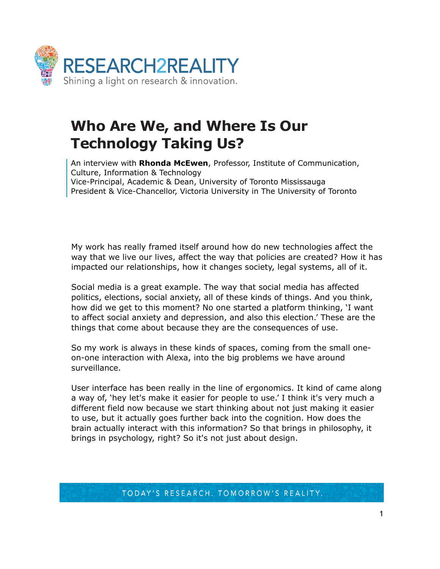

## **Who Are We, and Where Is Our Technology Taking Us?**

An interview with **Rhonda McEwen**, Professor, Institute of Communication, Culture, Information & Technology Vice-Principal, Academic & Dean, University of Toronto Mississauga President & Vice-Chancellor, Victoria University in The University of Toronto

My work has really framed itself around how do new technologies affect the way that we live our lives, affect the way that policies are created? How it has impacted our relationships, how it changes society, legal systems, all of it.

Social media is a great example. The way that social media has affected politics, elections, social anxiety, all of these kinds of things. And you think, how did we get to this moment? No one started a platform thinking, 'I want to affect social anxiety and depression, and also this election.' These are the things that come about because they are the consequences of use.

So my work is always in these kinds of spaces, coming from the small oneon-one interaction with Alexa, into the big problems we have around surveillance.

User interface has been really in the line of ergonomics. It kind of came along a way of, 'hey let's make it easier for people to use.' I think it's very much a different field now because we start thinking about not just making it easier to use, but it actually goes further back into the cognition. How does the brain actually interact with this information? So that brings in philosophy, it brings in psychology, right? So it's not just about design.

TODAY'S RESEARCH. TOMORROW'S REALITY.